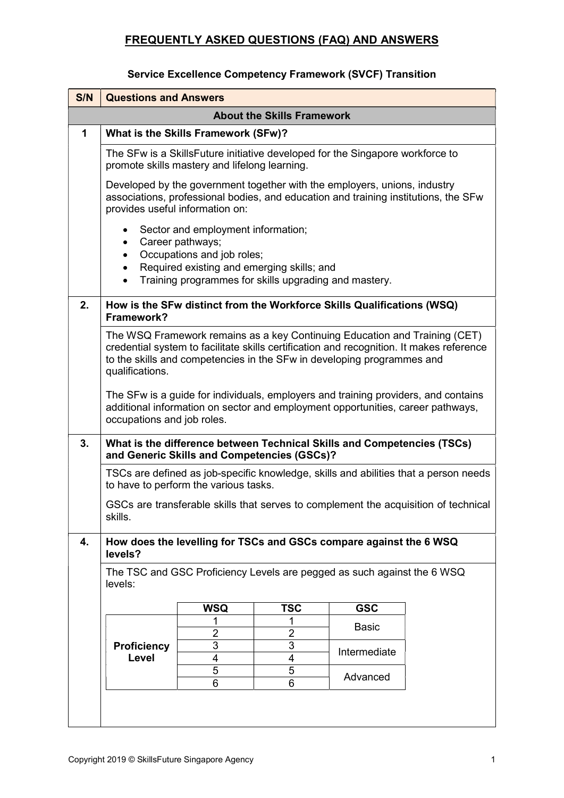#### Service Excellence Competency Framework (SVCF) Transition

| S/N | <b>Questions and Answers</b>                                                                                                                                                                                                                                        |                                                                                                                |                |                                                       |  |
|-----|---------------------------------------------------------------------------------------------------------------------------------------------------------------------------------------------------------------------------------------------------------------------|----------------------------------------------------------------------------------------------------------------|----------------|-------------------------------------------------------|--|
|     | <b>About the Skills Framework</b>                                                                                                                                                                                                                                   |                                                                                                                |                |                                                       |  |
| 1   | What is the Skills Framework (SFw)?                                                                                                                                                                                                                                 |                                                                                                                |                |                                                       |  |
|     | The SFw is a SkillsFuture initiative developed for the Singapore workforce to<br>promote skills mastery and lifelong learning.                                                                                                                                      |                                                                                                                |                |                                                       |  |
|     | Developed by the government together with the employers, unions, industry<br>associations, professional bodies, and education and training institutions, the SFw<br>provides useful information on:                                                                 |                                                                                                                |                |                                                       |  |
|     | Career pathways;<br>$\bullet$<br>٠<br>$\bullet$<br>$\bullet$                                                                                                                                                                                                        | Sector and employment information;<br>Occupations and job roles;<br>Required existing and emerging skills; and |                | Training programmes for skills upgrading and mastery. |  |
| 2.  | How is the SFw distinct from the Workforce Skills Qualifications (WSQ)<br>Framework?                                                                                                                                                                                |                                                                                                                |                |                                                       |  |
|     | The WSQ Framework remains as a key Continuing Education and Training (CET)<br>credential system to facilitate skills certification and recognition. It makes reference<br>to the skills and competencies in the SFw in developing programmes and<br>qualifications. |                                                                                                                |                |                                                       |  |
|     | The SFw is a guide for individuals, employers and training providers, and contains<br>additional information on sector and employment opportunities, career pathways,<br>occupations and job roles.                                                                 |                                                                                                                |                |                                                       |  |
| 3.  | What is the difference between Technical Skills and Competencies (TSCs)<br>and Generic Skills and Competencies (GSCs)?                                                                                                                                              |                                                                                                                |                |                                                       |  |
|     | TSCs are defined as job-specific knowledge, skills and abilities that a person needs<br>to have to perform the various tasks.                                                                                                                                       |                                                                                                                |                |                                                       |  |
|     | GSCs are transferable skills that serves to complement the acquisition of technical<br>skills.                                                                                                                                                                      |                                                                                                                |                |                                                       |  |
| 4.  | How does the levelling for TSCs and GSCs compare against the 6 WSQ<br>levels?                                                                                                                                                                                       |                                                                                                                |                |                                                       |  |
|     | The TSC and GSC Proficiency Levels are pegged as such against the 6 WSQ<br>levels:                                                                                                                                                                                  |                                                                                                                |                |                                                       |  |
|     |                                                                                                                                                                                                                                                                     | <b>WSQ</b>                                                                                                     | <b>TSC</b>     | <b>GSC</b>                                            |  |
|     |                                                                                                                                                                                                                                                                     |                                                                                                                |                | <b>Basic</b>                                          |  |
|     |                                                                                                                                                                                                                                                                     | $\overline{2}$                                                                                                 | $\overline{2}$ |                                                       |  |
|     | <b>Proficiency</b><br>Level                                                                                                                                                                                                                                         | 3<br>4                                                                                                         | 3<br>4         | Intermediate                                          |  |
|     |                                                                                                                                                                                                                                                                     | 5                                                                                                              | 5              |                                                       |  |
|     |                                                                                                                                                                                                                                                                     | 6                                                                                                              | 6              | Advanced                                              |  |
|     |                                                                                                                                                                                                                                                                     |                                                                                                                |                |                                                       |  |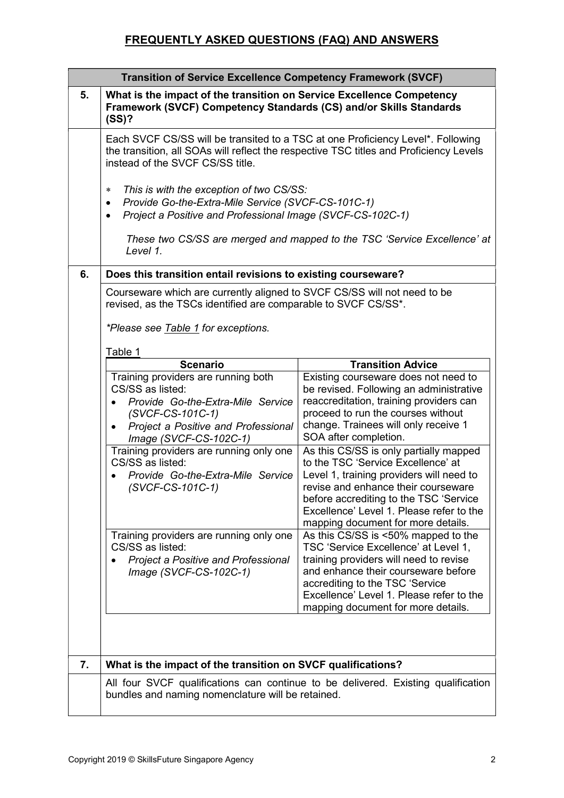|    | <b>Transition of Service Excellence Competency Framework (SVCF)</b>                                                                                                                                                                                                 |                                                                                                                                                                                                                                                                                             |  |  |  |
|----|---------------------------------------------------------------------------------------------------------------------------------------------------------------------------------------------------------------------------------------------------------------------|---------------------------------------------------------------------------------------------------------------------------------------------------------------------------------------------------------------------------------------------------------------------------------------------|--|--|--|
| 5. | What is the impact of the transition on Service Excellence Competency<br>Framework (SVCF) Competency Standards (CS) and/or Skills Standards<br>(SS)?                                                                                                                |                                                                                                                                                                                                                                                                                             |  |  |  |
|    | Each SVCF CS/SS will be transited to a TSC at one Proficiency Level*. Following<br>the transition, all SOAs will reflect the respective TSC titles and Proficiency Levels<br>instead of the SVCF CS/SS title.                                                       |                                                                                                                                                                                                                                                                                             |  |  |  |
|    | This is with the exception of two CS/SS:<br>$\ast$<br>Provide Go-the-Extra-Mile Service (SVCF-CS-101C-1)<br>٠<br>Project a Positive and Professional Image (SVCF-CS-102C-1)<br>These two CS/SS are merged and mapped to the TSC 'Service Excellence' at<br>Level 1. |                                                                                                                                                                                                                                                                                             |  |  |  |
| 6. | Does this transition entail revisions to existing courseware?                                                                                                                                                                                                       |                                                                                                                                                                                                                                                                                             |  |  |  |
|    | Courseware which are currently aligned to SVCF CS/SS will not need to be<br>revised, as the TSCs identified are comparable to SVCF CS/SS*.<br><i>*Please see Table 1 for exceptions.</i>                                                                            |                                                                                                                                                                                                                                                                                             |  |  |  |
|    | Table 1<br><b>Scenario</b>                                                                                                                                                                                                                                          | <b>Transition Advice</b>                                                                                                                                                                                                                                                                    |  |  |  |
|    | Training providers are running both<br>CS/SS as listed:<br>Provide Go-the-Extra-Mile Service<br>(SVCF-CS-101C-1)<br>Project a Positive and Professional<br>Image (SVCF-CS-102C-1)                                                                                   | Existing courseware does not need to<br>be revised. Following an administrative<br>reaccreditation, training providers can<br>proceed to run the courses without<br>change. Trainees will only receive 1<br>SOA after completion.                                                           |  |  |  |
|    | Training providers are running only one<br>CS/SS as listed:<br>Provide Go-the-Extra-Mile Service<br>(SVCF-CS-101C-1)                                                                                                                                                | As this CS/SS is only partially mapped<br>to the TSC 'Service Excellence' at<br>Level 1, training providers will need to<br>revise and enhance their courseware<br>before accrediting to the TSC 'Service<br>Excellence' Level 1. Please refer to the<br>mapping document for more details. |  |  |  |
|    | Training providers are running only one<br>CS/SS as listed:<br><b>Project a Positive and Professional</b><br>Image (SVCF-CS-102C-1)                                                                                                                                 | As this CS/SS is <50% mapped to the<br>TSC 'Service Excellence' at Level 1,<br>training providers will need to revise<br>and enhance their courseware before<br>accrediting to the TSC 'Service<br>Excellence' Level 1. Please refer to the<br>mapping document for more details.           |  |  |  |
| 7. | What is the impact of the transition on SVCF qualifications?                                                                                                                                                                                                        |                                                                                                                                                                                                                                                                                             |  |  |  |
|    |                                                                                                                                                                                                                                                                     | All four SVCF qualifications can continue to be delivered. Existing qualification                                                                                                                                                                                                           |  |  |  |
|    | bundles and naming nomenclature will be retained.                                                                                                                                                                                                                   |                                                                                                                                                                                                                                                                                             |  |  |  |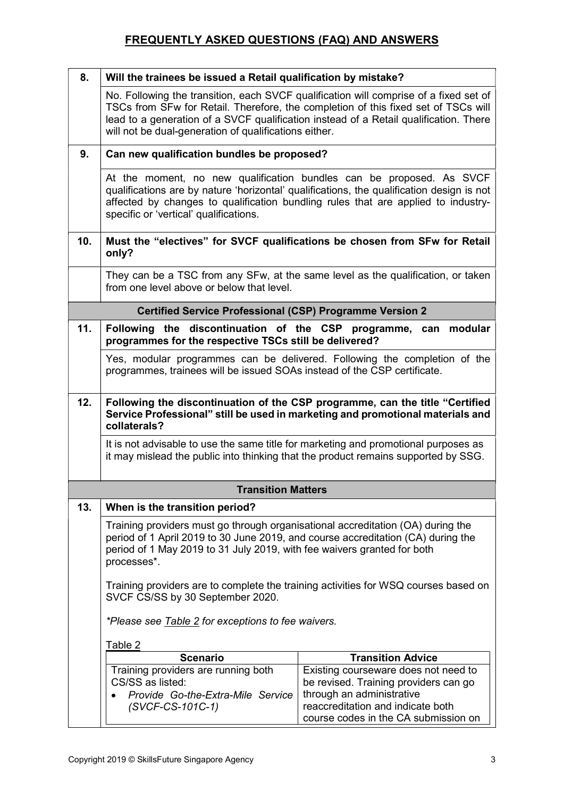| 8.  | Will the trainees be issued a Retail qualification by mistake?                                                                                                                                                                                                                                   |                                                                                                                                                                                                                                                                      |  |  |  |
|-----|--------------------------------------------------------------------------------------------------------------------------------------------------------------------------------------------------------------------------------------------------------------------------------------------------|----------------------------------------------------------------------------------------------------------------------------------------------------------------------------------------------------------------------------------------------------------------------|--|--|--|
|     | will not be dual-generation of qualifications either.                                                                                                                                                                                                                                            | No. Following the transition, each SVCF qualification will comprise of a fixed set of<br>TSCs from SFw for Retail. Therefore, the completion of this fixed set of TSCs will<br>lead to a generation of a SVCF qualification instead of a Retail qualification. There |  |  |  |
| 9.  | Can new qualification bundles be proposed?                                                                                                                                                                                                                                                       |                                                                                                                                                                                                                                                                      |  |  |  |
|     | At the moment, no new qualification bundles can be proposed. As SVCF<br>qualifications are by nature 'horizontal' qualifications, the qualification design is not<br>affected by changes to qualification bundling rules that are applied to industry-<br>specific or 'vertical' qualifications. |                                                                                                                                                                                                                                                                      |  |  |  |
| 10. | Must the "electives" for SVCF qualifications be chosen from SFw for Retail<br>only?                                                                                                                                                                                                              |                                                                                                                                                                                                                                                                      |  |  |  |
|     | They can be a TSC from any SFw, at the same level as the qualification, or taken<br>from one level above or below that level.                                                                                                                                                                    |                                                                                                                                                                                                                                                                      |  |  |  |
|     | <b>Certified Service Professional (CSP) Programme Version 2</b>                                                                                                                                                                                                                                  |                                                                                                                                                                                                                                                                      |  |  |  |
| 11. | Following the discontinuation of the CSP programme, can modular<br>programmes for the respective TSCs still be delivered?                                                                                                                                                                        |                                                                                                                                                                                                                                                                      |  |  |  |
|     | programmes, trainees will be issued SOAs instead of the CSP certificate.                                                                                                                                                                                                                         | Yes, modular programmes can be delivered. Following the completion of the                                                                                                                                                                                            |  |  |  |
| 12. | Following the discontinuation of the CSP programme, can the title "Certified"<br>Service Professional" still be used in marketing and promotional materials and<br>collaterals?                                                                                                                  |                                                                                                                                                                                                                                                                      |  |  |  |
|     | It is not advisable to use the same title for marketing and promotional purposes as<br>it may mislead the public into thinking that the product remains supported by SSG.                                                                                                                        |                                                                                                                                                                                                                                                                      |  |  |  |
|     | <b>Transition Matters</b>                                                                                                                                                                                                                                                                        |                                                                                                                                                                                                                                                                      |  |  |  |
| 13. | When is the transition period?                                                                                                                                                                                                                                                                   |                                                                                                                                                                                                                                                                      |  |  |  |
|     | Training providers must go through organisational accreditation (OA) during the<br>period of 1 April 2019 to 30 June 2019, and course accreditation (CA) during the<br>period of 1 May 2019 to 31 July 2019, with fee waivers granted for both<br>processes*.                                    |                                                                                                                                                                                                                                                                      |  |  |  |
|     | Training providers are to complete the training activities for WSQ courses based on<br>SVCF CS/SS by 30 September 2020.<br>*Please see Table 2 for exceptions to fee waivers.                                                                                                                    |                                                                                                                                                                                                                                                                      |  |  |  |
|     |                                                                                                                                                                                                                                                                                                  |                                                                                                                                                                                                                                                                      |  |  |  |
|     | Table 2                                                                                                                                                                                                                                                                                          |                                                                                                                                                                                                                                                                      |  |  |  |
|     | <b>Scenario</b><br>Training providers are running both                                                                                                                                                                                                                                           | <b>Transition Advice</b><br>Existing courseware does not need to                                                                                                                                                                                                     |  |  |  |
|     | CS/SS as listed:                                                                                                                                                                                                                                                                                 | be revised. Training providers can go                                                                                                                                                                                                                                |  |  |  |
|     | Provide Go-the-Extra-Mile Service<br>(SVCF-CS-101C-1)                                                                                                                                                                                                                                            | through an administrative<br>reaccreditation and indicate both                                                                                                                                                                                                       |  |  |  |
|     |                                                                                                                                                                                                                                                                                                  | course codes in the CA submission on                                                                                                                                                                                                                                 |  |  |  |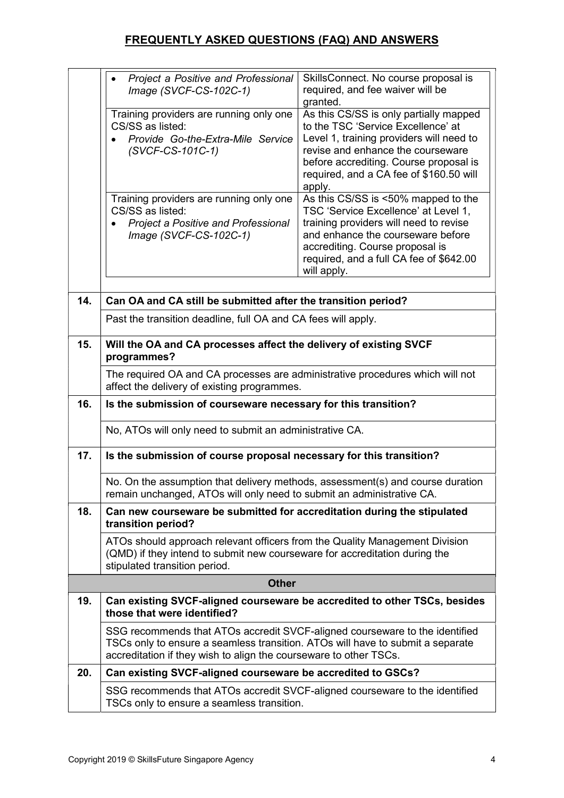|     | Project a Positive and Professional<br>Image (SVCF-CS-102C-1)                                                                                                                                                                      | SkillsConnect. No course proposal is<br>required, and fee waiver will be<br>granted.                                                                                                                                                                         |  |
|-----|------------------------------------------------------------------------------------------------------------------------------------------------------------------------------------------------------------------------------------|--------------------------------------------------------------------------------------------------------------------------------------------------------------------------------------------------------------------------------------------------------------|--|
|     | Training providers are running only one<br>CS/SS as listed:<br>Provide Go-the-Extra-Mile Service<br>(SVCF-CS-101C-1)                                                                                                               | As this CS/SS is only partially mapped<br>to the TSC 'Service Excellence' at<br>Level 1, training providers will need to<br>revise and enhance the courseware<br>before accrediting. Course proposal is<br>required, and a CA fee of \$160.50 will<br>apply. |  |
|     | Training providers are running only one<br>CS/SS as listed:<br><b>Project a Positive and Professional</b><br>Image (SVCF-CS-102C-1)                                                                                                | As this CS/SS is <50% mapped to the<br>TSC 'Service Excellence' at Level 1,<br>training providers will need to revise<br>and enhance the courseware before<br>accrediting. Course proposal is<br>required, and a full CA fee of \$642.00<br>will apply.      |  |
| 14. | Can OA and CA still be submitted after the transition period?                                                                                                                                                                      |                                                                                                                                                                                                                                                              |  |
|     | Past the transition deadline, full OA and CA fees will apply.                                                                                                                                                                      |                                                                                                                                                                                                                                                              |  |
| 15. | Will the OA and CA processes affect the delivery of existing SVCF<br>programmes?                                                                                                                                                   |                                                                                                                                                                                                                                                              |  |
|     | The required OA and CA processes are administrative procedures which will not<br>affect the delivery of existing programmes.                                                                                                       |                                                                                                                                                                                                                                                              |  |
| 16. | Is the submission of courseware necessary for this transition?                                                                                                                                                                     |                                                                                                                                                                                                                                                              |  |
|     | No, ATOs will only need to submit an administrative CA.                                                                                                                                                                            |                                                                                                                                                                                                                                                              |  |
| 17. | Is the submission of course proposal necessary for this transition?                                                                                                                                                                |                                                                                                                                                                                                                                                              |  |
|     | No. On the assumption that delivery methods, assessment(s) and course duration<br>remain unchanged, ATOs will only need to submit an administrative CA.                                                                            |                                                                                                                                                                                                                                                              |  |
| 18. | Can new courseware be submitted for accreditation during the stipulated<br>transition period?                                                                                                                                      |                                                                                                                                                                                                                                                              |  |
|     | ATOs should approach relevant officers from the Quality Management Division<br>(QMD) if they intend to submit new courseware for accreditation during the<br>stipulated transition period.                                         |                                                                                                                                                                                                                                                              |  |
|     | <b>Other</b>                                                                                                                                                                                                                       |                                                                                                                                                                                                                                                              |  |
| 19. | Can existing SVCF-aligned courseware be accredited to other TSCs, besides<br>those that were identified?                                                                                                                           |                                                                                                                                                                                                                                                              |  |
|     | SSG recommends that ATOs accredit SVCF-aligned courseware to the identified<br>TSCs only to ensure a seamless transition. ATOs will have to submit a separate<br>accreditation if they wish to align the courseware to other TSCs. |                                                                                                                                                                                                                                                              |  |
| 20. | Can existing SVCF-aligned courseware be accredited to GSCs?                                                                                                                                                                        |                                                                                                                                                                                                                                                              |  |
|     | SSG recommends that ATOs accredit SVCF-aligned courseware to the identified<br>TSCs only to ensure a seamless transition.                                                                                                          |                                                                                                                                                                                                                                                              |  |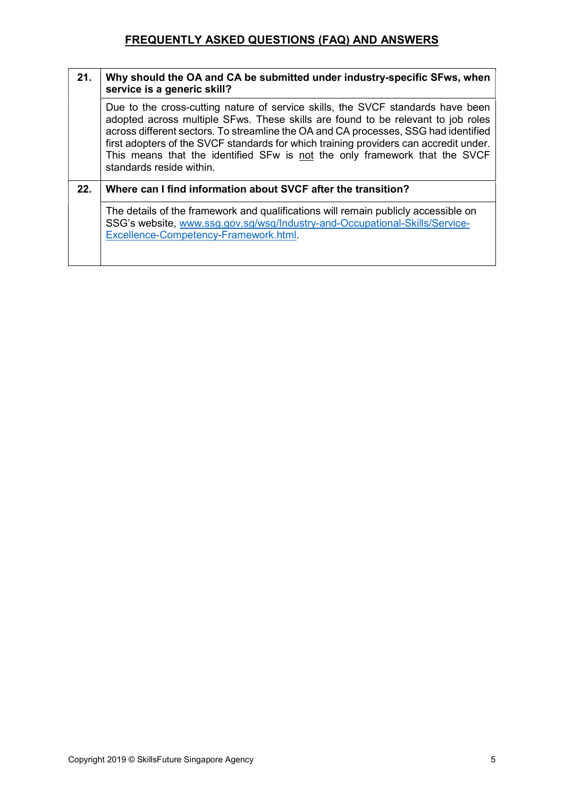| 21. | Why should the OA and CA be submitted under industry-specific SFws, when<br>service is a generic skill?                                                                                                                                                                                                                                                                                                                                                       |
|-----|---------------------------------------------------------------------------------------------------------------------------------------------------------------------------------------------------------------------------------------------------------------------------------------------------------------------------------------------------------------------------------------------------------------------------------------------------------------|
|     | Due to the cross-cutting nature of service skills, the SVCF standards have been<br>adopted across multiple SFws. These skills are found to be relevant to job roles<br>across different sectors. To streamline the OA and CA processes, SSG had identified<br>first adopters of the SVCF standards for which training providers can accredit under.<br>This means that the identified SFw is not the only framework that the SVCF<br>standards reside within. |
| 22. | Where can I find information about SVCF after the transition?                                                                                                                                                                                                                                                                                                                                                                                                 |
|     | The details of the framework and qualifications will remain publicly accessible on<br>SSG's website, www.ssg.gov.sg/wsq/Industry-and-Occupational-Skills/Service-<br>Excellence-Competency-Framework.html.                                                                                                                                                                                                                                                    |